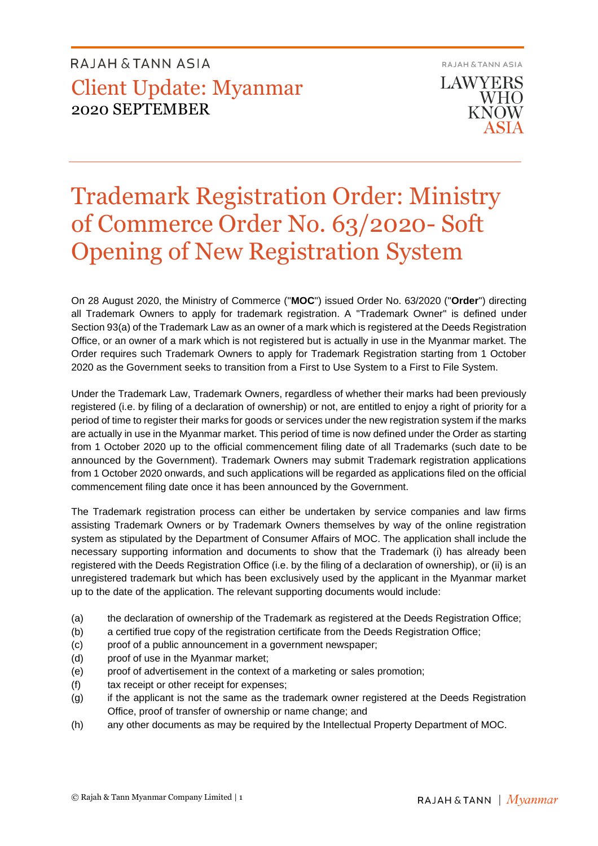**RAJAH & TANN ASIA LAWYERS WHO** KNOW

# Trademark Registration Order: Ministry of Commerce Order No. 63/2020- Soft Opening of New Registration System

On 28 August 2020, the Ministry of Commerce ("**MOC**") issued Order No. 63/2020 ("**Order**") directing all Trademark Owners to apply for trademark registration. A "Trademark Owner" is defined under Section 93(a) of the Trademark Law as an owner of a mark which is registered at the Deeds Registration Office, or an owner of a mark which is not registered but is actually in use in the Myanmar market. The Order requires such Trademark Owners to apply for Trademark Registration starting from 1 October 2020 as the Government seeks to transition from a First to Use System to a First to File System.

Under the Trademark Law, Trademark Owners, regardless of whether their marks had been previously registered (i.e. by filing of a declaration of ownership) or not, are entitled to enjoy a right of priority for a period of time to register their marks for goods or services under the new registration system if the marks are actually in use in the Myanmar market. This period of time is now defined under the Order as starting from 1 October 2020 up to the official commencement filing date of all Trademarks (such date to be announced by the Government). Trademark Owners may submit Trademark registration applications from 1 October 2020 onwards, and such applications will be regarded as applications filed on the official commencement filing date once it has been announced by the Government.

The Trademark registration process can either be undertaken by service companies and law firms assisting Trademark Owners or by Trademark Owners themselves by way of the online registration system as stipulated by the Department of Consumer Affairs of MOC. The application shall include the necessary supporting information and documents to show that the Trademark (i) has already been registered with the Deeds Registration Office (i.e. by the filing of a declaration of ownership), or (ii) is an unregistered trademark but which has been exclusively used by the applicant in the Myanmar market up to the date of the application. The relevant supporting documents would include:

- (a) the declaration of ownership of the Trademark as registered at the Deeds Registration Office;
- (b) a certified true copy of the registration certificate from the Deeds Registration Office;
- (c) proof of a public announcement in a government newspaper;
- (d) proof of use in the Myanmar market;
- (e) proof of advertisement in the context of a marketing or sales promotion;
- (f) tax receipt or other receipt for expenses;
- (g) if the applicant is not the same as the trademark owner registered at the Deeds Registration Office, proof of transfer of ownership or name change; and
- (h) any other documents as may be required by the Intellectual Property Department of MOC.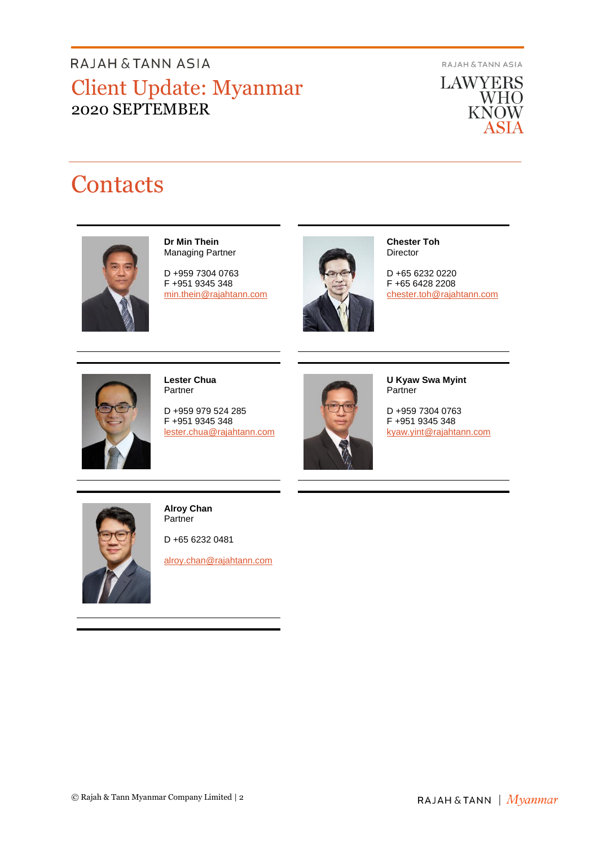**RAJAH & TANN ASIA** 

**LAWYERS** WHO<br>KNOW ASIA

# **Contacts**



#### **Dr Min Thein** Managing Partner

D +959 7304 0763 F +951 9345 348 [min.thein@rajahtann.com](mailto:min.thein@rajahtann.com)



**Chester Toh Director** 

D +65 6232 0220 F +65 6428 2208 [chester.toh@rajahtann.com](mailto:chester.toh@rajahtann.com)



**Lester Chua** Partner

D +959 979 524 285 F +951 9345 348 [lester.chua@rajahtann.com](mailto:lester.chua@rajahtann.com)



**U Kyaw Swa Myint** Partner

D +959 7304 0763 F +951 9345 348 [kyaw.yint@rajahtann.com](mailto:kyaw.yint@rajahtann.com)



**Alroy Chan** Partner

D +65 6232 0481

[alroy.chan@rajahtann.com](mailto:alroy.chan@rajahtann.com)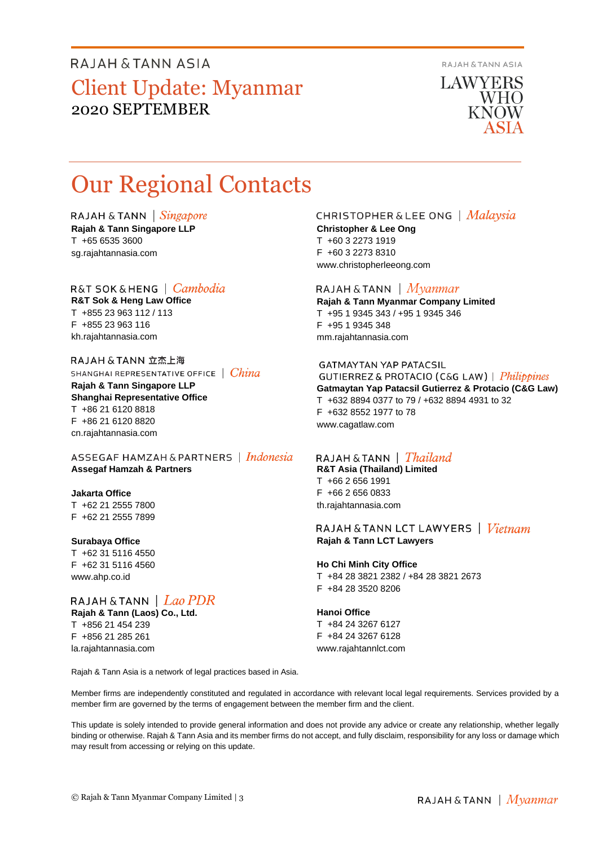**RAJAH & TANN ASIA** 

**LAWYERS WHO KNOW** 

# Our Regional Contacts

RAJAH & TANN  $\int$  *Singapore* **Rajah & Tann Singapore LLP**

T +65 6535 3600 sg.rajahtannasia.com

### R&T SOK&HENG | *Cambodia*

**R&T Sok & Heng Law Office** T +855 23 963 112 / 113 F +855 23 963 116 kh.rajahtannasia.com

RAJAH & TANN 立杰上海 SHANGHAI REPRESENTATIVE OFFICE | China

**Rajah & Tann Singapore LLP Shanghai Representative Office** T +86 21 6120 8818 F +86 21 6120 8820 cn.rajahtannasia.com

ASSEGAF HAMZAH & PARTNERS | Indonesia **Assegaf Hamzah & Partners**

### **Jakarta Office**

T +62 21 2555 7800 F +62 21 2555 7899

#### **Surabaya Office**

T +62 31 5116 4550 F +62 31 5116 4560 www.ahp.co.id

la.rajahtannasia.com

RAJAH & TANN  $|$  Lao PDR **Rajah & Tann (Laos) Co., Ltd.** T +856 21 454 239 F +856 21 285 261

#### CHRISTOPHER & LEE ONG | Malaysia **Christopher & Lee Ong** T +60 3 2273 1919

F +60 3 2273 8310 www.christopherleeong.com

### RAJAH & TANN  $\mid$  *Myanmar*

**Rajah & Tann Myanmar Company Limited** T +95 1 9345 343 / +95 1 9345 346 F +95 1 9345 348 mm.rajahtannasia.com

#### **GATMAYTAN YAP PATACSIL**

GUTIERREZ & PROTACIO (C&G LAW) | Philippines **Gatmaytan Yap Patacsil Gutierrez & Protacio (C&G Law)**  T +632 8894 0377 to 79 / +632 8894 4931 to 32 F +632 8552 1977 to 78 www.cagatlaw.com

### RAJAH & TANN | *Thailand*

**R&T Asia (Thailand) Limited** T +66 2 656 1991 F +66 2 656 0833 th.rajahtannasia.com

RAJAH & TANN LCT LAWYERS | Vietnam **Rajah & Tann LCT Lawyers**

## **Ho Chi Minh City Office**

T +84 28 3821 2382 / +84 28 3821 2673 F +84 28 3520 8206

#### **Hanoi Office**

T +84 24 3267 6127 F +84 24 3267 6128 www.rajahtannlct.com

Rajah & Tann Asia is a network of legal practices based in Asia.

Member firms are independently constituted and regulated in accordance with relevant local legal requirements. Services provided by a member firm are governed by the terms of engagement between the member firm and the client.

This update is solely intended to provide general information and does not provide any advice or create any relationship, whether legally binding or otherwise. Rajah & Tann Asia and its member firms do not accept, and fully disclaim, responsibility for any loss or damage which may result from accessing or relying on this update.